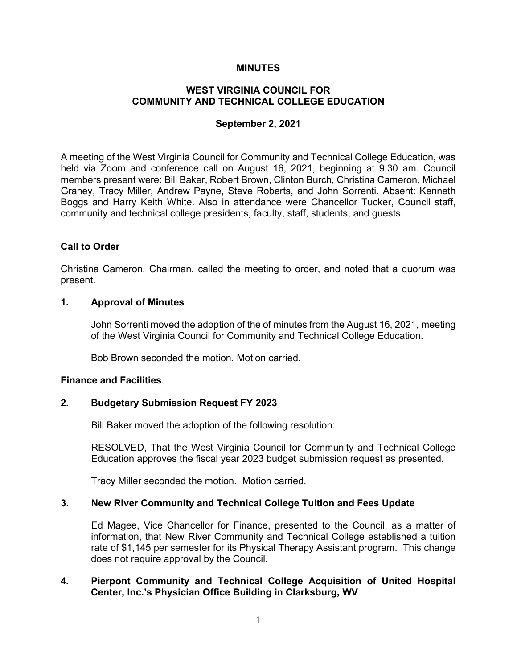#### **MINUTES**

# **WEST VIRGINIA COUNCIL FOR COMMUNITY AND TECHNICAL COLLEGE EDUCATION**

#### **September 2, 2021**

A meeting of the West Virginia Council for Community and Technical College Education, was held via Zoom and conference call on August 16, 2021, beginning at 9:30 am. Council members present were: Bill Baker, Robert Brown, Clinton Burch, Christina Cameron, Michael Graney, Tracy Miller, Andrew Payne, Steve Roberts, and John Sorrenti. Absent: Kenneth Boggs and Harry Keith White. Also in attendance were Chancellor Tucker, Council staff, community and technical college presidents, faculty, staff, students, and guests.

### **Call to Order**

Christina Cameron, Chairman, called the meeting to order, and noted that a quorum was present.

#### **1. Approval of Minutes**

John Sorrenti moved the adoption of the of minutes from the August 16, 2021, meeting of the West Virginia Council for Community and Technical College Education.

Bob Brown seconded the motion. Motion carried.

#### **Finance and Facilities**

### **2. Budgetary Submission Request FY 2023**

Bill Baker moved the adoption of the following resolution:

RESOLVED, That the West Virginia Council for Community and Technical College Education approves the fiscal year 2023 budget submission request as presented.

Tracy Miller seconded the motion. Motion carried.

### **3. New River Community and Technical College Tuition and Fees Update**

Ed Magee, Vice Chancellor for Finance, presented to the Council, as a matter of information, that New River Community and Technical College established a tuition rate of \$1,145 per semester for its Physical Therapy Assistant program. This change does not require approval by the Council.

### **4. Pierpont Community and Technical College Acquisition of United Hospital Center, Inc.'s Physician Office Building in Clarksburg, WV**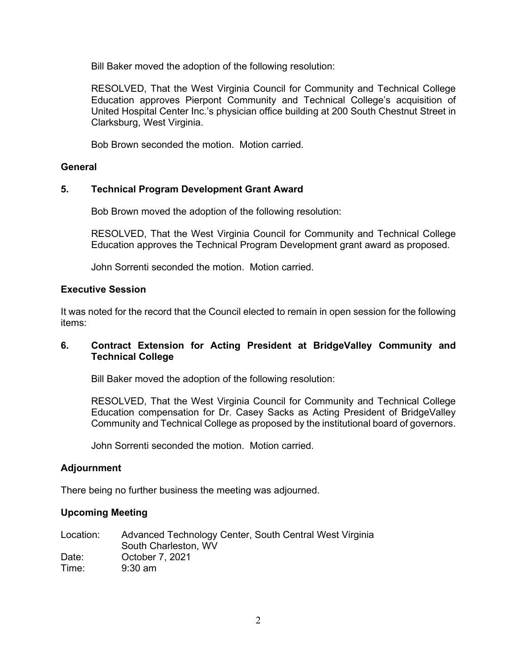Bill Baker moved the adoption of the following resolution:

RESOLVED, That the West Virginia Council for Community and Technical College Education approves Pierpont Community and Technical College's acquisition of United Hospital Center Inc.'s physician office building at 200 South Chestnut Street in Clarksburg, West Virginia.

Bob Brown seconded the motion. Motion carried.

## **General**

# **5. Technical Program Development Grant Award**

Bob Brown moved the adoption of the following resolution:

RESOLVED, That the West Virginia Council for Community and Technical College Education approves the Technical Program Development grant award as proposed.

John Sorrenti seconded the motion. Motion carried.

### **Executive Session**

It was noted for the record that the Council elected to remain in open session for the following items:

## **6. Contract Extension for Acting President at BridgeValley Community and Technical College**

Bill Baker moved the adoption of the following resolution:

RESOLVED, That the West Virginia Council for Community and Technical College Education compensation for Dr. Casey Sacks as Acting President of BridgeValley Community and Technical College as proposed by the institutional board of governors.

John Sorrenti seconded the motion. Motion carried.

### **Adjournment**

There being no further business the meeting was adjourned.

### **Upcoming Meeting**

| Location: | Advanced Technology Center, South Central West Virginia |
|-----------|---------------------------------------------------------|
|           | South Charleston, WV                                    |
| Date:     | October 7, 2021                                         |
| Time:     | $9:30 \text{ am}$                                       |